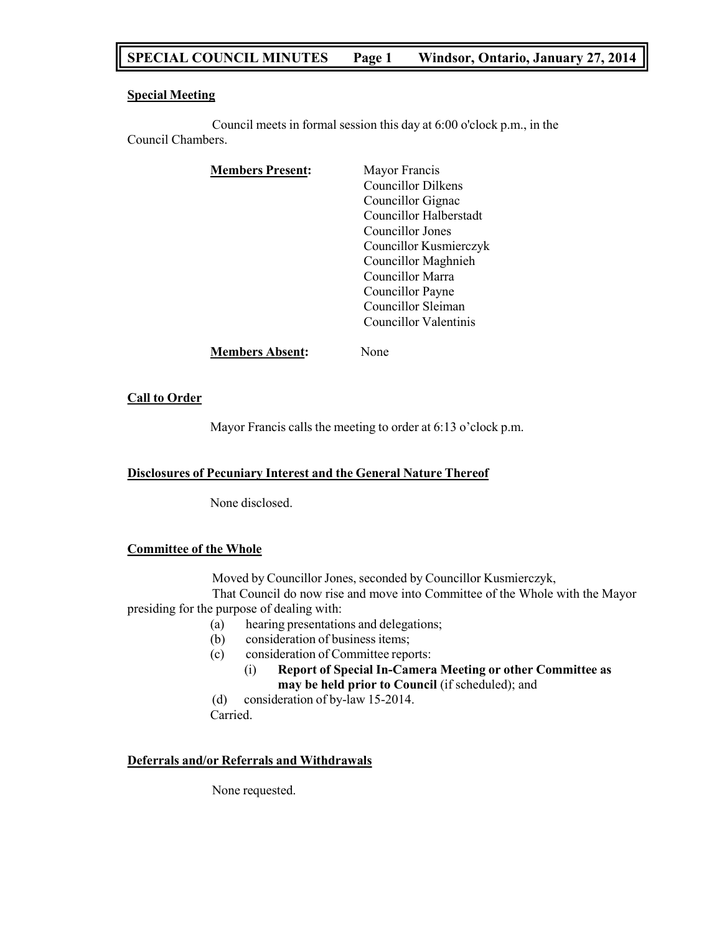# **SPECIAL COUNCIL MINUTES Page 1 Windsor, Ontario, January 27, 2014**

## **Special Meeting**

Council meets in formal session this day at 6:00 o'clock p.m., in the Council Chambers.

| <b>Members Present:</b> | Mayor Francis                                 |
|-------------------------|-----------------------------------------------|
|                         | <b>Councillor Dilkens</b>                     |
|                         | Councillor Gignac                             |
|                         | Councillor Halberstadt                        |
|                         | Councillor Jones                              |
|                         | Councillor Kusmierczyk<br>Councillor Maghnieh |
|                         |                                               |
|                         | Councillor Payne<br>Councillor Sleiman        |
|                         |                                               |
| <b>Members Absent:</b>  | None                                          |

# **Call to Order**

Mayor Francis calls the meeting to order at 6:13 o'clock p.m.

## **Disclosures of Pecuniary Interest and the General Nature Thereof**

None disclosed.

### **Committee of the Whole**

Moved by Councillor Jones, seconded by Councillor Kusmierczyk,

That Council do now rise and move into Committee of the Whole with the Mayor presiding for the purpose of dealing with:

- (a) hearing presentations and delegations;
- (b) consideration of business items;
- (c) consideration of Committee reports:
	- (i) **Report of Special In-Camera Meeting or other Committee as may be held prior to Council** (if scheduled); and
- (d) consideration of by-law 15-2014.

Carried.

# **Deferrals and/or Referrals and Withdrawals**

None requested.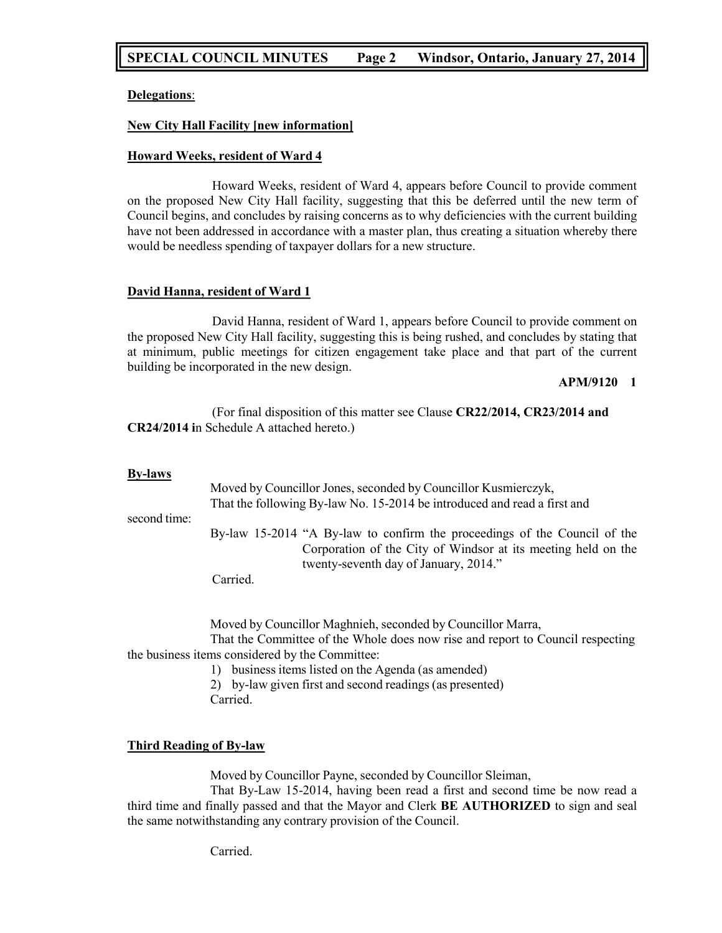# **SPECIAL COUNCIL MINUTES Page 2 Windsor, Ontario, January 27, 2014**

**Delegations**:

## **New City Hall Facility [new information]**

### **Howard Weeks, resident of Ward 4**

Howard Weeks, resident of Ward 4, appears before Council to provide comment on the proposed New City Hall facility, suggesting that this be deferred until the new term of Council begins, and concludes by raising concerns as to why deficiencies with the current building have not been addressed in accordance with a master plan, thus creating a situation whereby there would be needless spending of taxpayer dollars for a new structure.

#### **David Hanna, resident of Ward 1**

David Hanna, resident of Ward 1, appears before Council to provide comment on the proposed New City Hall facility, suggesting this is being rushed, and concludes by stating that at minimum, public meetings for citizen engagement take place and that part of the current building be incorporated in the new design.

**APM/9120 1**

(For final disposition of this matter see Clause **CR22/2014, CR23/2014 and CR24/2014 i**n Schedule A attached hereto.)

#### **By-laws**

|              | Moved by Councillor Jones, seconded by Councillor Kusmierczyk,<br>That the following By-law No. 15-2014 be introduced and read a first and                                          |
|--------------|-------------------------------------------------------------------------------------------------------------------------------------------------------------------------------------|
| second time: | By-law 15-2014 "A By-law to confirm the proceedings of the Council of the<br>Corporation of the City of Windsor at its meeting held on the<br>twenty-seventh day of January, 2014." |
|              | Carried.                                                                                                                                                                            |

Moved by Councillor Maghnieh, seconded by Councillor Marra,

That the Committee of the Whole does now rise and report to Council respecting the business items considered by the Committee:

- 1) business items listed on the Agenda (as amended)
- 2) by-law given first and second readings (as presented)
- Carried.

## **Third Reading of By-law**

Moved by Councillor Payne, seconded by Councillor Sleiman,

That By-Law 15-2014, having been read a first and second time be now read a third time and finally passed and that the Mayor and Clerk **BE AUTHORIZED** to sign and seal the same notwithstanding any contrary provision of the Council.

Carried.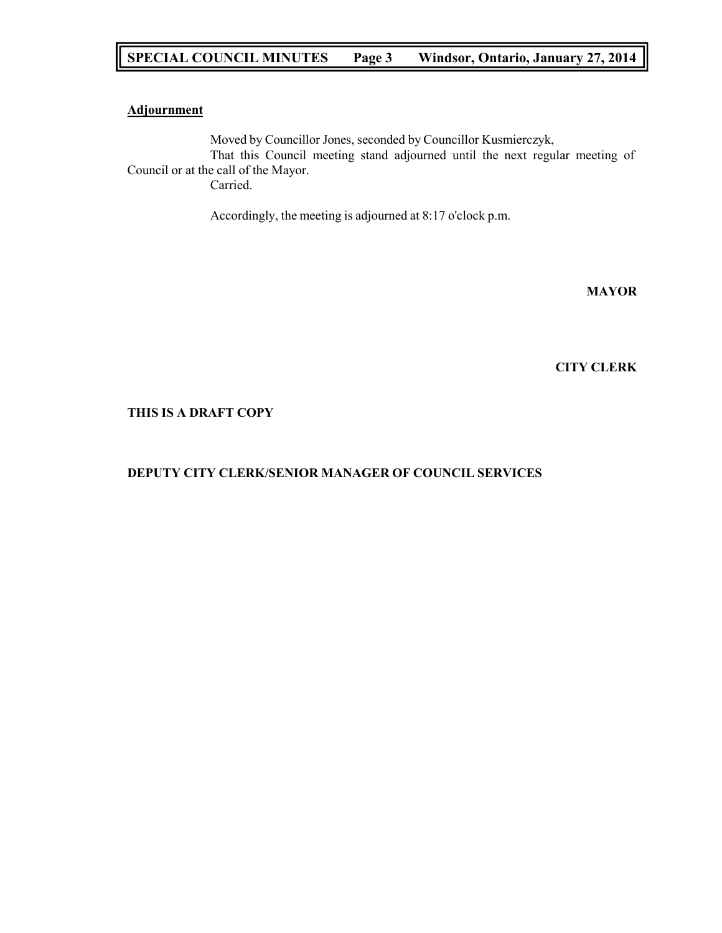# **SPECIAL COUNCIL MINUTES Page 3 Windsor, Ontario, January 27, 2014**

# **Adjournment**

Moved by Councillor Jones, seconded by Councillor Kusmierczyk, That this Council meeting stand adjourned until the next regular meeting of Council or at the call of the Mayor. Carried.

Accordingly, the meeting is adjourned at 8:17 o'clock p.m.

**MAYOR**

**CITY CLERK**

## **THIS IS A DRAFT COPY**

# **DEPUTY CITY CLERK/SENIOR MANAGER OF COUNCIL SERVICES**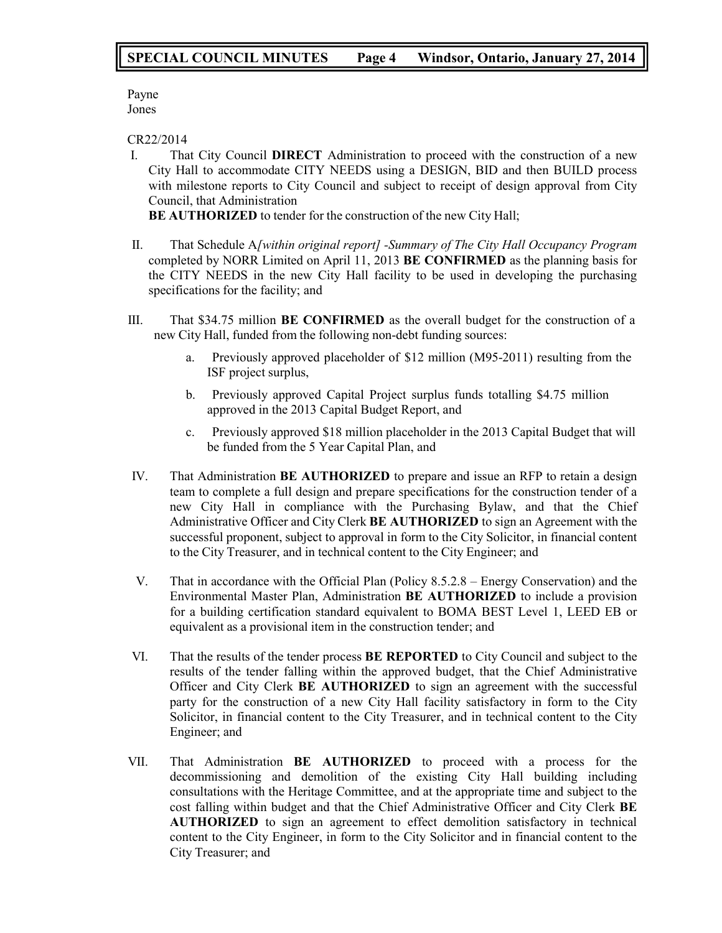Payne Jones

CR22/2014

I. That City Council **DIRECT** Administration to proceed with the construction of a new City Hall to accommodate CITY NEEDS using a DESIGN, BID and then BUILD process with milestone reports to City Council and subject to receipt of design approval from City Council, that Administration

**BE AUTHORIZED** to tender for the construction of the new City Hall;

- II. That Schedule A*[within original report] -Summary of The City Hall Occupancy Program* completed by NORR Limited on April 11, 2013 **BE CONFIRMED** as the planning basis for the CITY NEEDS in the new City Hall facility to be used in developing the purchasing specifications for the facility; and
- III. That \$34.75 million **BE CONFIRMED** as the overall budget for the construction of a new City Hall, funded from the following non-debt funding sources:
	- a. Previously approved placeholder of \$12 million (M95-2011) resulting from the ISF project surplus,
	- b. Previously approved Capital Project surplus funds totalling \$4.75 million approved in the 2013 Capital Budget Report, and
	- c. Previously approved \$18 million placeholder in the 2013 Capital Budget that will be funded from the 5 Year Capital Plan, and
- IV. That Administration **BE AUTHORIZED** to prepare and issue an RFP to retain a design team to complete a full design and prepare specifications for the construction tender of a new City Hall in compliance with the Purchasing Bylaw, and that the Chief Administrative Officer and City Clerk **BE AUTHORIZED** to sign an Agreement with the successful proponent, subject to approval in form to the City Solicitor, in financial content to the City Treasurer, and in technical content to the City Engineer; and
- V. That in accordance with the Official Plan (Policy 8.5.2.8 Energy Conservation) and the Environmental Master Plan, Administration **BE AUTHORIZED** to include a provision for a building certification standard equivalent to BOMA BEST Level 1, LEED EB or equivalent as a provisional item in the construction tender; and
- VI. That the results of the tender process **BE REPORTED** to City Council and subject to the results of the tender falling within the approved budget, that the Chief Administrative Officer and City Clerk **BE AUTHORIZED** to sign an agreement with the successful party for the construction of a new City Hall facility satisfactory in form to the City Solicitor, in financial content to the City Treasurer, and in technical content to the City Engineer; and
- VII. That Administration **BE AUTHORIZED** to proceed with a process for the decommissioning and demolition of the existing City Hall building including consultations with the Heritage Committee, and at the appropriate time and subject to the cost falling within budget and that the Chief Administrative Officer and City Clerk **BE AUTHORIZED** to sign an agreement to effect demolition satisfactory in technical content to the City Engineer, in form to the City Solicitor and in financial content to the City Treasurer; and